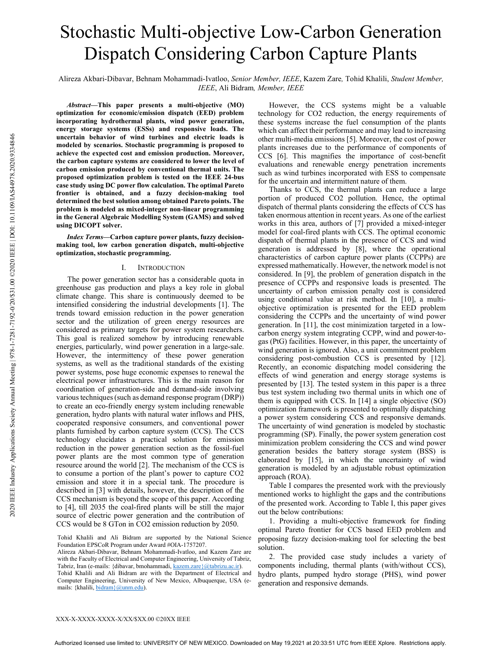# Stochastic Multi-objective Low-Carbon Generation Dispatch Considering Carbon Capture Plants

Alireza Akbari-Dibavar, Behnam Mohammadi-Ivatloo, Senior Member, IEEE, Kazem Zare, Tohid Khalili, Student Member, IEEE, Ali Bidram, Member, IEEE

Abstract—This paper presents a multi-objective (MO) optimization for economic/emission dispatch (EED) problem incorporating hydrothermal plants, wind power generation, energy storage systems (ESSs) and responsive loads. The uncertain behavior of wind turbines and electric loads is modeled by scenarios. Stochastic programming is proposed to achieve the expected cost and emission production. Moreover, the carbon capture systems are considered to lower the level of carbon emission produced by conventional thermal units. The proposed optimization problem is tested on the IEEE 24-bus case study using DC power flow calculation. The optimal Pareto frontier is obtained, and a fuzzy decision-making tool determined the best solution among obtained Pareto points. The problem is modeled as mixed-integer non-linear programming in the General Algebraic Modelling System (GAMS) and solved using DICOPT solver.

Index Terms—Carbon capture power plants, fuzzy decisionmaking tool, low carbon generation dispatch, multi-objective optimization, stochastic programming.

## I. INTRODUCTION

The power generation sector has a considerable quota in greenhouse gas production and plays a key role in global climate change. This share is continuously deemed to be intensified considering the industrial developments [1]. The trends toward emission reduction in the power generation sector and the utilization of green energy resources are considered as primary targets for power system researchers. This goal is realized somehow by introducing renewable energies, particularly, wind power generation in a large-sale. However, the intermittency of these power generation systems, as well as the traditional standards of the existing power systems, pose huge economic expenses to renewal the electrical power infrastructures. This is the main reason for coordination of generation-side and demand-side involving various techniques (such as demand response program (DRP)) to create an eco-friendly energy system including renewable generation, hydro plants with natural water inflows and PHS, cooperated responsive consumers, and conventional power plants furnished by carbon capture system (CCS). The CCS technology elucidates a practical solution for emission reduction in the power generation section as the fossil-fuel power plants are the most common type of generation resource around the world [2]. The mechanism of the CCS is to consume a portion of the plant's power to capture CO2 emission and store it in a special tank. The procedure is described in [3] with details, however, the description of the CCS mechanism is beyond the scope of this paper. According to [4], till 2035 the coal-fired plants will be still the major source of electric power generation and the contribution of CCS would be 8 GTon in CO2 emission reduction by 2050.

Tohid Khalili and Ali Bidram are supported by the National Science Foundation EPSCoR Program under Award #OIA-1757207.

Alireza Akbari-Dibavar, Behnam Mohammadi-Ivatloo, and Kazem Zare are with the Faculty of Electrical and Computer Engineering, University of Tabriz, Tabriz, Iran (e-mails: {dibavar, bmohammadi, kazem.zare}@tabrizu.ac.ir). Tohid Khalili and Ali Bidram are with the Department of Electrical and

Computer Engineering, University of New Mexico, Albuquerque, USA (emails: {khalili, bidram}@unm.edu).

However, the CCS systems might be a valuable technology for CO2 reduction, the energy requirements of these systems increase the fuel consumption of the plants which can affect their performance and may lead to increasing other multi-media emissions [5]. Moreover, the cost of power plants increases due to the performance of components of CCS [6]. This magnifies the importance of cost-benefit evaluations and renewable energy penetration increments such as wind turbines incorporated with ESS to compensate for the uncertain and intermittent nature of them.

Thanks to CCS, the thermal plants can reduce a large portion of produced CO2 pollution. Hence, the optimal dispatch of thermal plants considering the effects of CCS has taken enormous attention in recent years. As one of the earliest works in this area, authors of [7] provided a mixed-integer model for coal-fired plants with CCS. The optimal economic dispatch of thermal plants in the presence of CCS and wind generation is addressed by [8], where the operational characteristics of carbon capture power plants (CCPPs) are expressed mathematically. However, the network model is not considered. In [9], the problem of generation dispatch in the presence of CCPPs and responsive loads is presented. The uncertainty of carbon emission penalty cost is considered using conditional value at risk method. In [10], a multiobjective optimization is presented for the EED problem considering the CCPPs and the uncertainty of wind power generation. In [11], the cost minimization targeted in a lowcarbon energy system integrating CCPP, wind and power-togas (PtG) facilities. However, in this paper, the uncertainty of wind generation is ignored. Also, a unit commitment problem considering post-combustion CCS is presented by [12]. Recently, an economic dispatching model considering the effects of wind generation and energy storage systems is presented by [13]. The tested system in this paper is a three bus test system including two thermal units in which one of them is equipped with CCS. In [14] a single objective (SO) optimization framework is presented to optimally dispatching a power system considering CCS and responsive demands. The uncertainty of wind generation is modeled by stochastic programming (SP). Finally, the power system generation cost minimization problem considering the CCS and wind power generation besides the battery storage system (BSS) is elaborated by [15], in which the uncertainty of wind generation is modeled by an adjustable robust optimization approach (ROA).

Table I compares the presented work with the previously mentioned works to highlight the gaps and the contributions of the presented work. According to Table I, this paper gives out the below contributions:

1. Providing a multi-objective framework for finding optimal Pareto frontier for CCS based EED problem and proposing fuzzy decision-making tool for selecting the best solution.

2. The provided case study includes a variety of components including, thermal plants (with/without CCS), hydro plants, pumped hydro storage (PHS), wind power generation and responsive demands.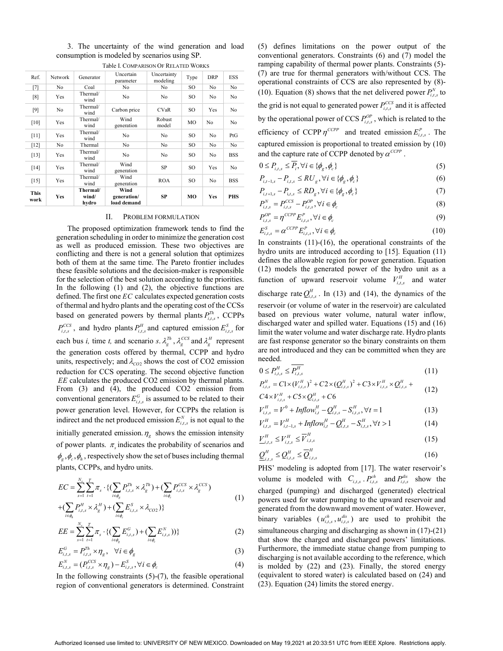|                     |         |                            |                                    | $\sim$                  |      |            |            |
|---------------------|---------|----------------------------|------------------------------------|-------------------------|------|------------|------------|
| Ref.                | Network | Generator                  | Uncertain<br>parameter             | Uncertainty<br>modeling | Type | <b>DRP</b> | <b>ESS</b> |
| $[7]$               | No      | Coal                       | No                                 | No.                     | SO.  | No         | No         |
| [8]                 | Yes     | Thermal/<br>wind           | No                                 | No                      | SO.  | No         | No         |
| $[9]$               | No      | Thermal/<br>wind           | Carbon price                       | <b>CVaR</b>             | SO.  | Yes        | No         |
| $[10]$              | Yes     | Thermal/<br>wind           | Wind<br>generation                 | Robust<br>model         | MO   | No         | No         |
| $[11]$              | Yes     | Thermal/<br>wind           | No                                 | No                      | SO.  | No         | PtG        |
| $[12]$              | No      | Thermal                    | No                                 | No                      | SO.  | No         | No         |
| $[13]$              | Yes     | Thermal/<br>wind           | No                                 | No                      | SO.  | No         | <b>BSS</b> |
| $[14]$              | Yes     | Thermal/<br>wind           | Wind<br>generation                 | SP                      | SO.  | Yes        | No         |
| $[15]$              | Yes     | Thermal/<br>wind           | Wind<br>generation                 | <b>ROA</b>              | SO.  | No         | <b>BSS</b> |
| <b>This</b><br>work | Yes     | Thermal/<br>wind/<br>hvdro | Wind<br>generation/<br>load demand | SP                      | MO   | Yes        | <b>PHS</b> |

3. The uncertainty of the wind generation and load consumption is modeled by scenarios using SP. Table I. COMPARISON OF RELATED WORKS

#### II. PROBLEM FORMULATION

The proposed optimization framework tends to find the generation scheduling in order to minimize the generation cost as well as produced emission. These two objectives are conflicting and there is not a general solution that optimizes both of them at the same time. The Pareto frontier includes these feasible solutions and the decision-maker is responsible for the selection of the best solution according to the priorities. In the following (1) and (2), the objective functions are defined. The first one  $EC$  calculates expected generation costs of thermal and hydro plants and the operating cost of the CCSs based on generated powers by thermal plants  $P_{i,t,s}^{Th}$ , CCPPs  $P_{i,t,s}^{CCS}$ , and hydro plants  $P_{i,t,s}^{H}$  and captured emission  $E_{i,t,s}^{S}$  for each bus *i*, time *t*, and scenario *s*.  $\lambda_g^{Th}$ ,  $\lambda_g^{CCS}$  and  $\lambda_g^H$  represent the generation costs offered by thermal, CCPP and hydro units, respectively; and  $\lambda_{CO2}$  shows the cost of CO2 emission reduction for CCS operating. The second objective function EE calculates the produced CO2 emission by thermal plants. From (3) and (4), the produced CO2 emission from conventional generators  $E_{i,t,s}^G$  is assumed to be related to their power generation level. However, for CCPPs the relation is indirect and the net produced emission  $E_{i,t,s}^{N}$  is not equal to the initially generated emission.  $\eta_g$  shows the emission intensity of power plants.  $\pi_s$  indicates the probability of scenarios and  $\phi_g$ ,  $\phi_c$ ,  $\phi_h$ , respectively show the set of buses including thermal plants, CCPPs, and hydro units.

$$
EC = \sum_{s=1}^{N_s} \sum_{t=1}^{T} \pi_s \cdot \{ (\sum_{i \in \phi_g} P_{i,t,s}^{Th} \times \lambda_g^{Th}) + (\sum_{i \in \phi_c} P_{i,t,s}^{CCS} \times \lambda_g^{CCS}) + (\sum_{i \in \phi_c} P_{i,t,s}^{H} \times \lambda_g^{H}) + (\sum_{i \in \phi_c} E_{i,t,s}^{S} \times \lambda_{CO2}) \}
$$
(1)

$$
EE = \sum_{s=1}^{N_s} \sum_{t=1}^{T} \pi_s \cdot \{ (\sum_{i \in \phi_g} E_{i,t,s}^G) + (\sum_{i \in \phi_c} E_{i,t,s}^N) ) \}
$$
(2)

$$
E_{i,t,s}^G = P_{i,t,s}^{Th} \times \eta_g, \quad \forall i \in \phi_g \tag{3}
$$

$$
E_{i,t,s}^{N} = (P_{i,t,s}^{CCS} \times \eta_{g}) - E_{i,t,s}^{S}, \forall i \in \phi_{c}
$$
 (4)

In the following constraints  $(5)-(7)$ , the feasible operational region of conventional generators is determined. Constraint (5) defines limitations on the power output of the conventional generators. Constraints (6) and (7) model the ramping capability of thermal power plants. Constraints (5)- (7) are true for thermal generators with/without CCS. The operational constraints of CCS are also represented by (8)- (10). Equation (8) shows that the net delivered power  $P_{i,t,s}^{N}$  to the grid is not equal to generated power  $P_{i,t,s}^{CCS}$  and it is affected by the operational power of CCS  $P_{i,t,s}^{OP}$ , which is related to the efficiency of CCPP  $\eta^{CCPP}$  and treated emission  $E_{i,t,s}^{P}$ . The captured emission is proportional to treated emission by (10) and the capture rate of CCPP denoted by  $\alpha^{\text{CCPP}}$  .

$$
0 \le P_{i,t,s} \le \overline{P_i}, \forall i \in \{\phi_g, \phi_c\}
$$
\n<sup>(5)</sup>

$$
P_{i,t-1,s} - P_{i,t,s} \le RU_g, \forall i \in \{\phi_g, \phi_c\}
$$
 (6)

$$
P_{i,t+1,s} - P_{i,t,s} \le RD_g, \forall i \in \{\phi_g, \phi_c\}
$$
 (7)

$$
P_{i,t,s}^N = P_{i,t,s}^{CCS} - P_{i,t,s}^{OP}, \forall i \in \phi_c
$$
\n
$$
(8)
$$

$$
P_{i,t,s}^{OP} = \eta^{CCPP} E_{i,t,s}^P, \forall i \in \phi_c
$$
\n
$$
(9)
$$

$$
E_{i,t,s}^{S} = \alpha^{CCPP} E_{i,t,s}^{P}, \forall i \in \phi_c
$$
\n(10)

In constraints  $(11)-(16)$ , the operational constraints of the hydro units are introduced according to [15]. Equation (11) defines the allowable region for power generation. Equation (12) models the generated power of the hydro unit as a function of upward reservoir volume  $V_{i,t,s}^H$  and water discharge rate  $Q_{i,t,s}^H$ . In (13) and (14), the dynamics of the reservoir (or volume of water in the reservoir) are calculated based on previous water volume, natural water inflow, discharged water and spilled water. Equations (15) and (16) limit the water volume and water discharge rate. Hydro plants are fast response generator so the binary constraints on them are not introduced and they can be committed when they are needed.

$$
0 \le P_{i,t,s}^H \le \overline{P_{i,t,s}^H} \tag{11}
$$

$$
P_{i,t,s}^{H} = C1 \times (V_{i,t,s}^{H})^2 + C2 \times (Q_{i,t,s}^{H})^2 + C3 \times V_{i,t,s}^{H} \times Q_{i,t,s}^{H} + C4 \times V_{i,t,s}^{H} + C5 \times Q_{i,t,s}^{H} + C6
$$
\n(12)

$$
V_{i,t,s}^{H} = V^{0} + Inflow_{i,t}^{H} - Q_{i,t,s}^{H} - S_{i,t,s}^{H}, \forall t = 1
$$
\n(13)

$$
V_{i,t,s}^H = V_{i,t-1,s}^H + Inflow_{i,t}^H - Q_{i,t,s}^H - S_{i,t,s}^H, \forall t > 1
$$
 (14)

$$
\underline{V}_{i,t,s}^H \le \overline{V}_{i,t,s}^H \le \overline{V}_{i,t,s}^H \tag{15}
$$

$$
\underline{Q}_{i,t,s}^H \le \underline{Q}_{i,t,s}^H \le \overline{Q}_{i,t,s}^H \tag{16}
$$

PHS' modeling is adopted from [17]. The water reservoir's volume is modeled with  $C_{i,t,s}$ .  $P_{i,t,s}^{ch}$  and  $P_{i,t,s}^{dis}$  show the charged (pumping) and discharged (generated) electrical powers used for water pumping to the upward reservoir and generated from the downward movement of water. However, binary variables  $(u_{i,t,s}^{ch}, u_{i,t,s}^{dis})$  are used to prohibit the simultaneous charging and discharging as shown in (17)-(21) that show the charged and discharged powers' limitations. Furthermore, the immediate statue change from pumping to discharging is not available according to the reference, which is molded by (22) and (23). Finally, the stored energy (equivalent to stored water) is calculated based on (24) and (23). Equation (24) limits the stored energy.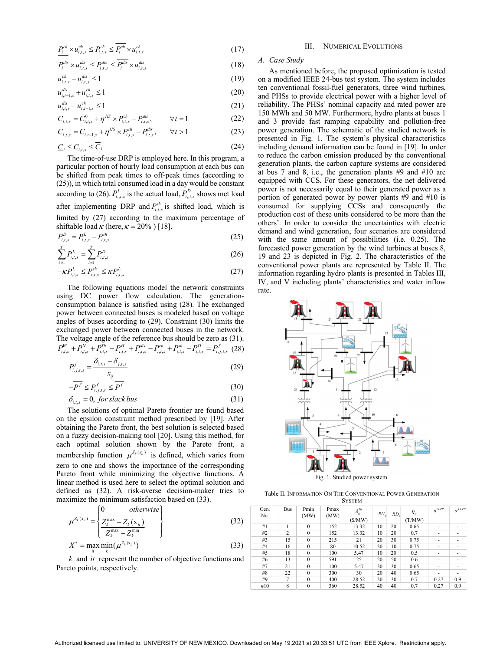$$
\underline{P_i^{ch}} \times u_{i,t,s}^{ch} \le P_{i,t,s}^{ch} \le \overline{P_i^{ch}} \times u_{i,t,s}^{ch}
$$
\n
$$
(17)
$$

$$
P_i^{dis} \times u_{i,t,s}^{dis} \le P_{i,t,s}^{dis} \le P_i^{dis} \times u_{i,t,s}^{dis}
$$
\n(18)

$$
u_{i,t,s}^{ch} + u_{i,t,s}^{dis} \le 1
$$
 (19)

$$
u_{i,t-1,s}^{dis} + u_{i,t,s}^{ch} \le 1
$$
\n(20)

$$
u_{i,t,s}^{(k)} + u_{i,t-1,s}^{(k)} \le 1
$$
\n(21)

$$
C_{i,t,s} = C_{i,t,s}^0 + \eta^{HS} \times P_{i,t,s}^{ch} - P_{i,t,s}^{dis}, \qquad \forall t = 1
$$
 (22)

$$
C_{i,t,s} = C_{i,t,s} + \eta \times r_{i,t,s} - r_{i,t,s}, \qquad \forall t = 1
$$
\n
$$
C_{i,t,s} = C_{i,t-1,s} + \eta^{HS} \times P_{i,t,s}^{ch} - P_{i,t,s}^{dis}, \qquad \forall t > 1
$$
\n(23)

$$
\underline{C}_i \le C_{i,t,s} \le \overline{C}_i \tag{24}
$$

The time-of-use DRP is employed here. In this program, a particular portion of hourly load consumption at each bus can be shifted from peak times to off-peak times (according to (25)), in which total consumed load in a day would be constant according to (26).  $P_{i_1,i,s}^L$  is the actual load,  $P_{i_1,i,s}^D$  shows met load

after implementing DRP and  $P_{i,t,s}^{sh}$  is shifted load, which is limited by (27) according to the maximum percentage of shiftable load  $\kappa$  (here,  $\kappa = 20\%$ ) [18].

$$
P_{i,t,s}^D = P_{i,t,s}^L - P_{i,t,s}^{sh} \tag{25}
$$

$$
\sum_{t=1}^{T} P_{i,t,s}^{L} = \sum_{t=1}^{T} P_{i,t,s}^{D}
$$
\n(26)

$$
-\kappa P_{i,t,s}^L \le P_{i,t,s}^{sh} \le \kappa P_{i,t,s}^L \tag{27}
$$

The following equations model the network constraints using DC power flow calculation. The generationconsumption balance is satisfied using (28). The exchanged power between connected buses is modeled based on voltage angles of buses according to (29). Constraint (30) limits the exchanged power between connected buses in the network. The voltage angle of the reference bus should be zero as (31).  $P_{i,t,s}^W + P_{i,t,s}^N + P_{i,t,s}^{Th} + P_{i,t,s}^{H} + P_{i,t,s}^{dis} - P_{i,t,s}^{ch} + P_{i,t,s}^{sh} - P_{i,t,s}^{D} = P_{i,j,t,s}^{f}$  (28)

$$
P_{i,j,t,s}^{f} = \frac{\delta_{i,t,s} - \delta_{j,t,s}}{x_{ij}}
$$
 (29)

$$
-\overline{P^f} \le P_{i,j,t,s}^f \le \overline{P^f} \tag{30}
$$

$$
\delta_{i,t,s} = 0, \text{ for slack bus} \tag{31}
$$

The solutions of optimal Pareto frontier are found based on the epsilon constraint method prescribed by [19]. After obtaining the Pareto front, the best solution is selected based on a fuzzy decision-making tool [20]. Using this method, for each optimal solution shown by the Pareto front, a membership function  $\mu^{Z_k(x_n)}$  is defined, which varies from zero to one and shows the importance of the corresponding Pareto front while minimizing the objective functions. A linear method is used here to select the optimal solution and defined as (32). A risk-averse decision-maker tries to maximize the minimum satisfaction based on (33).  $\sqrt{2}$  $\overline{t}$ 

$$
\mu^{Z_k(x_n)} = \begin{cases}\n0 & otherwise \\
\frac{Z_k^{\max} - Z_k(x_n)}{Z_k^{\max} - Z_k^{\min}}\n\end{cases}
$$
\n(32)

 $X^* = \max_{i} \min_{k} (\mu^{Z_k(x_i)})$  (33)

 $k$  and  $it$  represent the number of objective functions and Pareto points, respectively.

## III. NUMERICAL EVOLUTIONS

# A. Case Study

 $\frac{P_1^{ab}}{P_2^{ab}} \times u_{i,a,s}^{ab} \le P_{i,a,s}^{ab} \le P_1^{ab} \times u_{i,a,s}^{ab}$ <br>  $= \frac{P_1^{ab}}{u_{i,a,b}^{ab}} \times u_{i,a,s}^{ab} \le P_1^{ab} \times u_{i,a,s}^{ab}$ <br>  $= \frac{u_{i,a,s}^{ab}}{u_{i,a,s}^{ab}} + u_{i,a,s}^{ab} \le 1$ <br>
(18) A. Case Study<br>  $u_{i,a,s}^{ab} + u_{i,a,s}^{ab} \le 1$ <br>
(19) on a modified As mentioned before, the proposed optimization is tested on a modified IEEE 24-bus test system. The system includes ten conventional fossil-fuel generators, three wind turbines, and PHSs to provide electrical power with a higher level of reliability. The PHSs' nominal capacity and rated power are 150 MWh and 50 MW. Furthermore, hydro plants at buses 1 and 3 provide fast ramping capability and pollution-free power generation. The schematic of the studied network is presented in Fig. 1. The system's physical characteristics including demand information can be found in [19]. In order to reduce the carbon emission produced by the conventional generation plants, the carbon capture systems are considered at bus 7 and 8, i.e., the generation plants #9 and #10 are equipped with CCS. For these generators, the net delivered power is not necessarily equal to their generated power as a portion of generated power by power plants #9 and #10 is consumed for supplying CCSs and consequently the production cost of these units considered to be more than the others'. In order to consider the uncertainties with electric demand and wind generation, four scenarios are considered with the same amount of possibilities (i.e. 0.25). The forecasted power generation by the wind turbines at buses 8, 19 and 23 is depicted in Fig. 2. The characteristics of the conventional power plants are represented by Table II. The information regarding hydro plants is presented in Tables III, IV, and V including plants' characteristics and water inflow rate.



Fig. 1. Studied power system.

Table II. INFORMATION ON THE CONVENTIONAL POWER GENERATION **SYSTEM** 

| Gen.<br>No. | <b>Bus</b>     | Pmin<br>(MW) | Pmax<br>(MW) | $\lambda_g^{Th}$<br>(S/MW) | $RU_{g}$ | RD <sub>e</sub> | $\eta_{g}$<br>(T/MW) | $n^{CCPP}$ | $\alpha$ <sup>CCPP</sup> |
|-------------|----------------|--------------|--------------|----------------------------|----------|-----------------|----------------------|------------|--------------------------|
| #1          |                | $\Omega$     | 152          | 13.32                      | 10       | 20              | 0.65                 | ٠          | ۰                        |
| #2          | $\overline{c}$ | $\Omega$     | 152          | 13.32                      | 10       | 20              | 0.7                  | ۰          |                          |
| #3          | 15             | $\mathbf{0}$ | 215          | 21                         | 20       | 30              | 0.75                 | ۰          |                          |
| #4          | 16             | $\Omega$     | 80           | 10.52                      | 30       | 10              | 0.75                 | ۰          |                          |
| #5          | 18             | $\mathbf{0}$ | 100          | 5.47                       | 10       | 20              | 0.5                  | ۰          | ۰                        |
| #6          | 13             | $\mathbf{0}$ | 591          | 25                         | 20       | 50              | 0.6                  | ۰          |                          |
| #7          | 21             | $\mathbf{0}$ | 100          | 5.47                       | 30       | 30              | 0.65                 | ۰          |                          |
| #8          | 22             | $\theta$     | 300          | 30                         | 20       | 40              | 0.65                 | ۰          |                          |
| #9          | 7              | $\theta$     | 400          | 28.52                      | 30       | 30              | 0.7                  | 0.27       | 0.9                      |
| #10         | 8              | $\mathbf{0}$ | 360          | 28.52                      | 40       | 40              | 0.7                  | 0.27       | 0.9                      |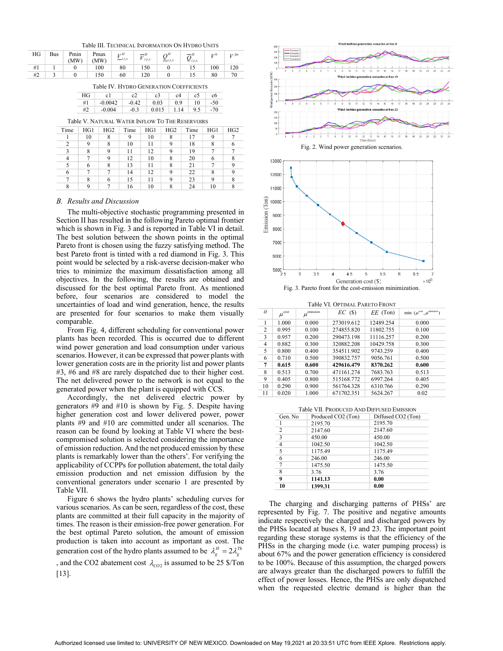Table III. TECHNICAL INFORMATION ON HYDRO UNITS

| HG | <b>Bus</b> | Pmin<br>(MW) | Pmax<br>(MW) | r H<br>i, s | $\overline{H}$<br>i, t, s | $\simeq$ i.t.s | $\overline{\Omega}^H$<br>$\mathcal{L}_{i,t,s}$ |     | $V$ fin |
|----|------------|--------------|--------------|-------------|---------------------------|----------------|------------------------------------------------|-----|---------|
| #1 |            |              | 100          | 80          | 150                       |                |                                                | 100 | 120     |
| #2 |            |              | 150          | 60          | 120                       |                |                                                | 80  | 70      |

Table IV. HYDRO GENERATION COEFFICIENTS

| HG |           |         | c3    | c4   | c5  |       |
|----|-----------|---------|-------|------|-----|-------|
| #1 | $-0.0042$ | $-0.42$ | 0.03  | 0.9  | 10  | $-50$ |
| #2 | $-0.004$  | $-0.3$  | 0.015 | 1.14 | 9.5 | $-70$ |

| Time | HG1 | HG2 | Time | HG1 | HG2 | Time | HG1 | HG2 |
|------|-----|-----|------|-----|-----|------|-----|-----|
|      | 10  |     | 9    | 10  | 8   | 17   | 9   |     |
| 2    | q   | 8   | 10   | 11  | 9   | 18   |     |     |
|      |     | Q   | 11   | 12  | 9   | 19   |     |     |
|      |     | 9   | 12   | 10  | 8   | 20   |     |     |
|      | 6   | 8   | 13   | 11  | 8   | 21   |     |     |
| 6    |     |     | 14   | 12  | 9   | 22   |     |     |
|      |     |     | 15   | 11  | q   | 23   |     |     |
| 8    |     |     | 16   | 10  | 8   | 24   | 10  |     |

#### B. Results and Discussion

The multi-objective stochastic programming presented in Section II has resulted in the following Pareto optimal frontier which is shown in Fig. 3 and is reported in Table VI in detail. The best solution between the shown points in the optimal Pareto front is chosen using the fuzzy satisfying method. The best Pareto front is tinted with a red diamond in Fig. 3. This point would be selected by a risk-averse decision-maker who tries to minimize the maximum dissatisfaction among all objectives. In the following, the results are obtained and discussed for the best optimal Pareto front. As mentioned before, four scenarios are considered to model the uncertainties of load and wind generation, hence, the results are presented for four scenarios to make them visually comparable.

From Fig. 4, different scheduling for conventional power plants has been recorded. This is occurred due to different wind power generation and load consumption under various scenarios. However, it can be expressed that power plants with lower generation costs are in the priority list and power plants #3, #6 and #8 are rarely dispatched due to their higher cost. The net delivered power to the network is not equal to the generated power when the plant is equipped with CCS.

Accordingly, the net delivered electric power by generators #9 and #10 is shown by Fig. 5. Despite having higher generation cost and lower delivered power, power plants #9 and #10 are committed under all scenarios. The reason can be found by looking at Table VI where the bestcompromised solution is selected considering the importance of emission reduction. And the net produced emission by these plants is remarkably lower than the others'. For verifying the applicability of CCPPs for pollution abatement, the total daily emission production and net emission diffusion by the conventional generators under scenario 1 are presented by Table VII.

Figure 6 shows the hydro plants' scheduling curves for various scenarios. As can be seen, regardless of the cost, these plants are committed at their full capacity in the majority of times. The reason is their emission-free power generation. For the best optimal Pareto solution, the amount of emission production is taken into account as important as cost. The generation cost of the hydro plants assumed to be  $\lambda_g^H = 2\lambda_g^{Th}$ 

, and the CO2 abatement cost  $\lambda_{CO2}$  is assumed to be 25 \$/Ton [13].



|  | Table VI. OPTIMAL PARETO FRONT |  |  |
|--|--------------------------------|--|--|
|--|--------------------------------|--|--|

|                | TADIC VI. OPHMAL PAREIO FRONT |                   |            |            |                                                        |  |
|----------------|-------------------------------|-------------------|------------|------------|--------------------------------------------------------|--|
| it             | $\mu^{\rm cost}$              | emission<br>$\mu$ | $EC$ (\$)  | $EE$ (Ton) | emission,<br>$\min(\mu^{\text{cost}}, \mu^{\text{c}})$ |  |
|                | 1.000                         | 0.000             | 273019.612 | 12489.254  | 0.000                                                  |  |
| 2              | 0.995                         | 0.100             | 274855.820 | 11802.755  | 0.100                                                  |  |
| 3              | 0.957                         | 0.200             | 290473.198 | 11116.257  | 0.200                                                  |  |
| $\overline{4}$ | 0.882                         | 0.300             | 320882.208 | 10429.758  | 0.300                                                  |  |
| 5              | 0.800                         | 0.400             | 354511.902 | 9743.259   | 0.400                                                  |  |
| 6              | 0.710                         | 0.500             | 390832.757 | 9056.761   | 0.500                                                  |  |
| 7              | 0.615                         | 0.600             | 429616.479 | 8370.262   | 0.600                                                  |  |
| 8              | 0.513                         | 0.700             | 471161.274 | 7683.763   | 0.513                                                  |  |
| 9              | 0.405                         | 0.800             | 515168.772 | 6997.264   | 0.405                                                  |  |
| 10             | 0.290                         | 0.900             | 561764.328 | 6310.766   | 0.290                                                  |  |
| 11             | 0.020                         | 1.000             | 671702.351 | 5624.267   | 0.02                                                   |  |

|  | <b>Table VII. PRODUCED AND DIFFUSED EMISSION</b> |  |  |
|--|--------------------------------------------------|--|--|
|--|--------------------------------------------------|--|--|

| Gen. No                 | Produced CO2 (Ton) | Diffused CO2 (Ton) |
|-------------------------|--------------------|--------------------|
|                         | 2195.70            | 2195.70            |
| $\overline{2}$          | 2147.60            | 2147.60            |
| $\overline{\mathbf{3}}$ | 450.00             | 450.00             |
| $\overline{a}$          | 1042.50            | 1042.50            |
| $\overline{5}$          | 1175.49            | 1175.49            |
| 6                       | 246.00             | 246.00             |
| $\overline{7}$          | 1475.50            | 1475.50            |
| 8                       | 3.76               | 3.76               |
| 9                       | 1141.13            | 0.00               |
| 10                      | 1399.31            | 0.00               |

The charging and discharging patterns of PHSs' are represented by Fig. 7. The positive and negative amounts indicate respectively the charged and discharged powers by the PHSs located at buses 8, 19 and 23. The important point regarding these storage systems is that the efficiency of the PHSs in the charging mode (i.e. water pumping process) is about 67% and the power generation efficiency is considered to be 100%. Because of this assumption, the charged powers are always greater than the discharged powers to fulfill the effect of power losses. Hence, the PHSs are only dispatched when the requested electric demand is higher than the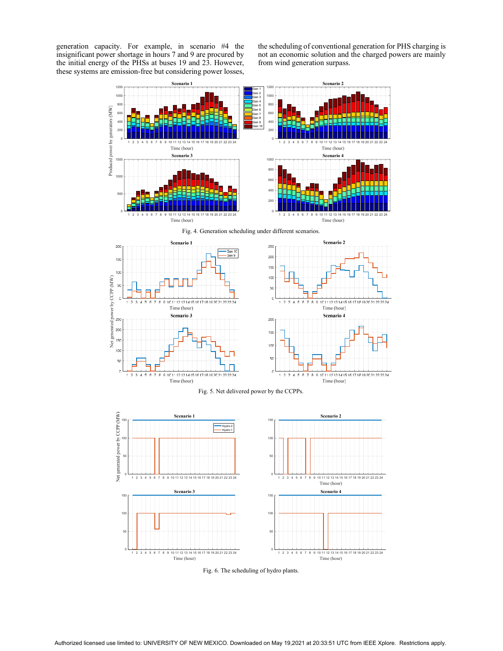generation capacity. For example, in scenario #4 the insignificant power shortage in hours 7 and 9 are procured by the initial energy of the PHSs at buses 19 and 23. However, these systems are emission-free but considering power losses, the scheduling of conventional generation for PHS charging is not an economic solution and the charged powers are mainly from wind generation surpass.